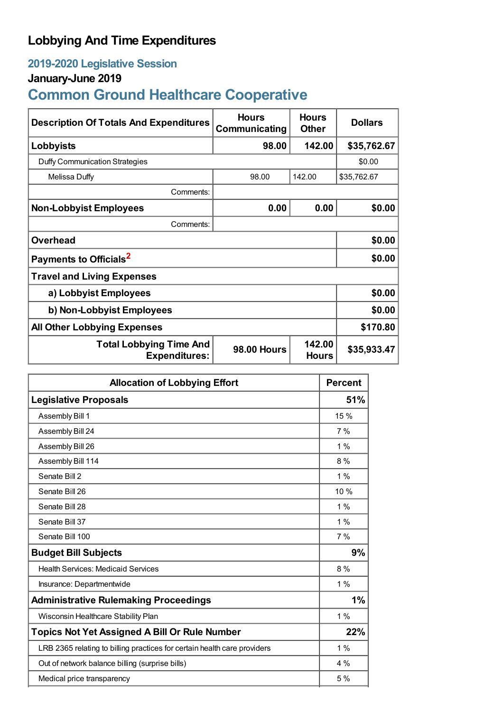# **Lobbying And Time Expenditures**

## **2019-2020 Legislative Session**

## **January-June 2019**

# **Common Ground Healthcare Cooperative**

| <b>Description Of Totals And Expenditures</b>          | <b>Hours</b><br>Communicating | <b>Hours</b><br><b>Other</b> | <b>Dollars</b> |  |
|--------------------------------------------------------|-------------------------------|------------------------------|----------------|--|
| Lobbyists                                              | 98.00                         | 142.00                       | \$35,762.67    |  |
| Duffy Communication Strategies                         |                               |                              | \$0.00         |  |
| Melissa Duffy                                          | 98.00                         | 142.00                       | \$35,762.67    |  |
| Comments:                                              |                               |                              |                |  |
| <b>Non-Lobbyist Employees</b>                          | 0.00                          | 0.00                         | \$0.00         |  |
| Comments:                                              |                               |                              |                |  |
| <b>Overhead</b>                                        |                               |                              | \$0.00         |  |
| Payments to Officials <sup>2</sup>                     |                               |                              | \$0.00         |  |
| <b>Travel and Living Expenses</b>                      |                               |                              |                |  |
| a) Lobbyist Employees                                  |                               |                              | \$0.00         |  |
| b) Non-Lobbyist Employees                              | \$0.00                        |                              |                |  |
| <b>All Other Lobbying Expenses</b>                     |                               |                              | \$170.80       |  |
| <b>Total Lobbying Time And</b><br><b>Expenditures:</b> | <b>98.00 Hours</b>            | 142.00<br><b>Hours</b>       | \$35,933.47    |  |

| <b>Allocation of Lobbying Effort</b>                                     | <b>Percent</b> |
|--------------------------------------------------------------------------|----------------|
| <b>Legislative Proposals</b>                                             | 51%            |
| Assembly Bill 1                                                          | 15 %           |
| Assembly Bill 24                                                         | 7%             |
| Assembly Bill 26                                                         | $1\%$          |
| Assembly Bill 114                                                        | 8%             |
| Senate Bill 2                                                            | $1\%$          |
| Senate Bill 26                                                           | 10 %           |
| Senate Bill 28                                                           | $1\%$          |
| Senate Bill 37                                                           | 1%             |
| Senate Bill 100                                                          | 7%             |
| <b>Budget Bill Subjects</b>                                              | 9%             |
| <b>Health Services: Medicaid Services</b>                                | $8\%$          |
| Insurance: Departmentwide                                                | $1\%$          |
| <b>Administrative Rulemaking Proceedings</b>                             | 1%             |
| Wisconsin Healthcare Stability Plan                                      | 1%             |
| <b>Topics Not Yet Assigned A Bill Or Rule Number</b>                     | 22%            |
| LRB 2365 relating to billing practices for certain health care providers | $1\%$          |
| Out of network balance billing (surprise bills)                          | $4\%$          |
| Medical price transparency                                               | 5%             |